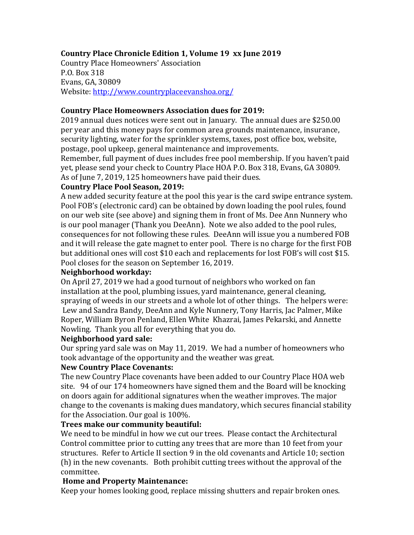# **Country Place Chronicle Edition 1, Volume 19 xx June 2019**

Country Place Homeowners' Association P.O. Box 318 Evans, GA, 30809 Website: http://www.countryplaceevanshoa.org/

#### **Country Place Homeowners Association dues for 2019:**

2019 annual dues notices were sent out in January. The annual dues are \$250.00 per year and this money pays for common area grounds maintenance, insurance, security lighting, water for the sprinkler systems, taxes, post office box, website, postage, pool upkeep, general maintenance and improvements.

Remember, full payment of dues includes free pool membership. If you haven't paid yet, please send your check to Country Place HOA P.O. Box 318, Evans, GA 30809. As of June 7, 2019, 125 homeowners have paid their dues.

## **Country Place Pool Season, 2019:**

A new added security feature at the pool this year is the card swipe entrance system. Pool FOB's (electronic card) can be obtained by down loading the pool rules, found on our web site (see above) and signing them in front of Ms. Dee Ann Nunnery who is our pool manager (Thank you DeeAnn). Note we also added to the pool rules, consequences for not following these rules. DeeAnn will issue you a numbered FOB and it will release the gate magnet to enter pool. There is no charge for the first FOB but additional ones will cost \$10 each and replacements for lost FOB's will cost \$15. Pool closes for the season on September 16, 2019.

### **Neighborhood workday:**

On April 27, 2019 we had a good turnout of neighbors who worked on fan installation at the pool, plumbing issues, yard maintenance, general cleaning, spraying of weeds in our streets and a whole lot of other things. The helpers were: Lew and Sandra Bandy, DeeAnn and Kyle Nunnery, Tony Harris, Jac Palmer, Mike Roper, William Byron Penland, Ellen White Khazrai, James Pekarski, and Annette Nowling. Thank you all for everything that you do.

#### **Neighborhood** vard sale:

Our spring yard sale was on May 11, 2019. We had a number of homeowners who took advantage of the opportunity and the weather was great.

## **New Country Place Covenants:**

The new Country Place covenants have been added to our Country Place HOA web site. 94 of our 174 homeowners have signed them and the Board will be knocking on doors again for additional signatures when the weather improves. The major change to the covenants is making dues mandatory, which secures financial stability for the Association. Our goal is 100%.

#### **Trees make our community beautiful:**

We need to be mindful in how we cut our trees. Please contact the Architectural Control committee prior to cutting any trees that are more than 10 feet from your structures. Refer to Article II section 9 in the old covenants and Article 10; section (h) in the new covenants. Both prohibit cutting trees without the approval of the committee.

## **Home and Property Maintenance:**

Keep your homes looking good, replace missing shutters and repair broken ones.